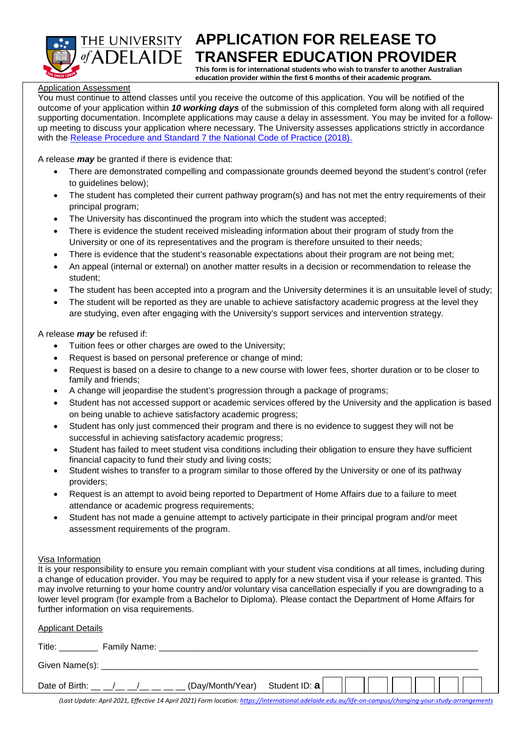

# THE UNIVERSITY **APPLICATION FOR RELEASE TO**  $\overline{of}$ ADELAIDE **TRANSFER EDUCATION PROVIDER**

**This form is for international students who wish to transfer to another Australian education provider within the first 6 months of their academic program.**

## Application Assessment

You must continue to attend classes until you receive the outcome of this application. You will be notified of the outcome of your application within *10 working days* of the submission of this completed form along with all required supporting documentation. Incomplete applications may cause a delay in assessment. You may be invited for a followup meeting to discuss your application where necessary. The University assesses applications strictly in accordance with the Release Procedure and Standard 7 [the National Code of Practice \(2018\).](https://internationaleducation.gov.au/Regulatory-Information/Documents/National%20Code%202018%20Factsheets/Standard%207.pdf)

A release *may* be granted if there is evidence that:

- There are demonstrated compelling and compassionate grounds deemed beyond the student's control (refer to guidelines below);
- The student has completed their current pathway program(s) and has not met the entry requirements of their principal program;
- The University has discontinued the program into which the student was accepted;
- There is evidence the student received misleading information about their program of study from the University or one of its representatives and the program is therefore unsuited to their needs;
- There is evidence that the student's reasonable expectations about their program are not being met;
- An appeal (internal or external) on another matter results in a decision or recommendation to release the student;
- The student has been accepted into a program and the University determines it is an unsuitable level of study;
- The student will be reported as they are unable to achieve satisfactory academic progress at the level they are studying, even after engaging with the University's support services and intervention strategy.

A release *may* be refused if:

- Tuition fees or other charges are owed to the University;
- Request is based on personal preference or change of mind;
- Request is based on a desire to change to a new course with lower fees, shorter duration or to be closer to family and friends;
- A change will jeopardise the student's progression through a package of programs;
- Student has not accessed support or academic services offered by the University and the application is based on being unable to achieve satisfactory academic progress;
- Student has only just commenced their program and there is no evidence to suggest they will not be successful in achieving satisfactory academic progress;
- Student has failed to meet student visa conditions including their obligation to ensure they have sufficient financial capacity to fund their study and living costs;
- Student wishes to transfer to a program similar to those offered by the University or one of its pathway providers;
- Request is an attempt to avoid being reported to Department of Home Affairs due to a failure to meet attendance or academic progress requirements;
- Student has not made a genuine attempt to actively participate in their principal program and/or meet assessment requirements of the program.

## Visa Information

It is your responsibility to ensure you remain compliant with your student visa conditions at all times, including during a change of education provider. You may be required to apply for a new student visa if your release is granted. This may involve returning to your home country and/or voluntary visa cancellation especially if you are downgrading to a lower level program (for example from a Bachelor to Diploma). Please contact the Department of Home Affairs for further information on visa requirements.

| <b>Applicant Details</b>                                                                                                                                                                                                                                   |  |
|------------------------------------------------------------------------------------------------------------------------------------------------------------------------------------------------------------------------------------------------------------|--|
| Title: The Contract of the Contract of the Contract of the Contract of the Contract of the Contract of the Contract of the Contract of the Contract of the Contract of the Contract of the Contract of the Contract of the Con<br>Family Name: ___________ |  |
|                                                                                                                                                                                                                                                            |  |
| (Day/Month/Year) Student ID: $a$<br>Date of Birth: $\_\_$ / _ / _ _ _ _                                                                                                                                                                                    |  |

*(Last Update: April 2021, Effective 14 April 2021) Form location[: https://international.adelaide.edu.au/life-on-campus/changing-your-study-arrangements](https://international.adelaide.edu.au/life-on-campus/changing-your-study-arrangements)*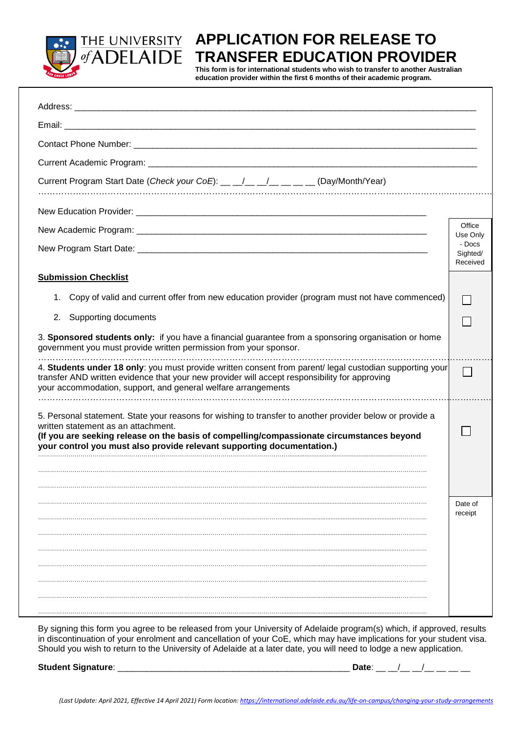

#### **APPLICATION FOR RELEASE TO**  THE UNIVERSITY of ADELAIDE **TRANSFER EDUCATION PROVIDER**

**This form is for international students who wish to transfer to another Australian education provider within the first 6 months of their academic program.**

| Current Program Start Date (Check your CoE): __ _/__ _/_ __ __ __ __ (Day/Month/Year)                                                                                                                                                                                                                                  |                                |  |  |
|------------------------------------------------------------------------------------------------------------------------------------------------------------------------------------------------------------------------------------------------------------------------------------------------------------------------|--------------------------------|--|--|
|                                                                                                                                                                                                                                                                                                                        |                                |  |  |
|                                                                                                                                                                                                                                                                                                                        | Office<br>Use Only             |  |  |
|                                                                                                                                                                                                                                                                                                                        | - Docs<br>Sighted/<br>Received |  |  |
| <b>Submission Checklist</b>                                                                                                                                                                                                                                                                                            |                                |  |  |
| Copy of valid and current offer from new education provider (program must not have commenced)<br>1.                                                                                                                                                                                                                    |                                |  |  |
| 2.<br>Supporting documents                                                                                                                                                                                                                                                                                             |                                |  |  |
| 3. Sponsored students only: if you have a financial guarantee from a sponsoring organisation or home<br>government you must provide written permission from your sponsor.                                                                                                                                              |                                |  |  |
| 4. Students under 18 only: you must provide written consent from parent/ legal custodian supporting your<br>transfer AND written evidence that your new provider will accept responsibility for approving<br>your accommodation, support, and general welfare arrangements                                             |                                |  |  |
| 5. Personal statement. State your reasons for wishing to transfer to another provider below or provide a<br>written statement as an attachment.<br>(If you are seeking release on the basis of compelling/compassionate circumstances beyond<br>your control you must also provide relevant supporting documentation.) |                                |  |  |
|                                                                                                                                                                                                                                                                                                                        |                                |  |  |
|                                                                                                                                                                                                                                                                                                                        | Date of<br>receipt             |  |  |
|                                                                                                                                                                                                                                                                                                                        |                                |  |  |
|                                                                                                                                                                                                                                                                                                                        |                                |  |  |
|                                                                                                                                                                                                                                                                                                                        |                                |  |  |
|                                                                                                                                                                                                                                                                                                                        |                                |  |  |
|                                                                                                                                                                                                                                                                                                                        |                                |  |  |

By signing this form you agree to be released from your University of Adelaide program(s) which, if approved, results in discontinuation of your enrolment and cancellation of your CoE, which may have implications for your student visa. Should you wish to return to the University of Adelaide at a later date, you will need to lodge a new application.

**Student Signature**: \_\_\_\_\_\_\_\_\_\_\_\_\_\_\_\_\_\_\_\_\_\_\_\_\_\_\_\_\_\_\_\_\_\_\_\_\_\_\_\_\_\_\_\_\_\_\_\_ **Date**: \_\_ \_\_/\_\_ \_\_/\_\_ \_\_ \_\_ \_\_